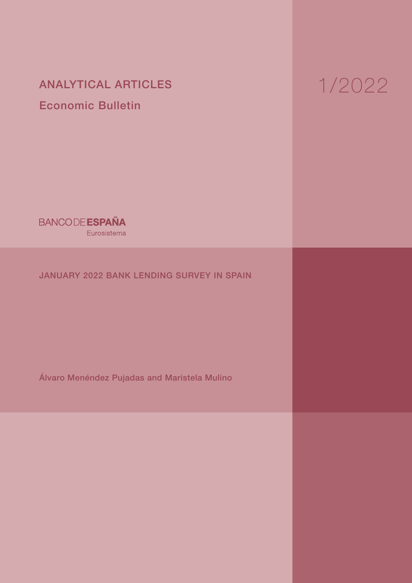# ANALYTICAL ARTICLES Economic Bulletin

# 1/2022

**BANCODE ESPAÑA** Eurosistema

# JANUARY 2022 BANK LENDING SURVEY IN SPAIN

Álvaro Menéndez Pujadas and Maristela Mulino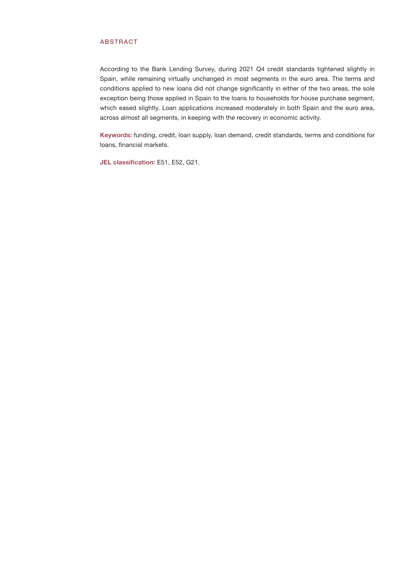# ABSTRACT

According to the Bank Lending Survey, during 2021 Q4 credit standards tightened slightly in Spain, while remaining virtually unchanged in most segments in the euro area. The terms and conditions applied to new loans did not change significantly in either of the two areas, the sole exception being those applied in Spain to the loans to households for house purchase segment, which eased slightly. Loan applications increased moderately in both Spain and the euro area, across almost all segments, in keeping with the recovery in economic activity.

Keywords: funding, credit, loan supply, loan demand, credit standards, terms and conditions for loans, financial markets.

JEL classification: E51, E52, G21.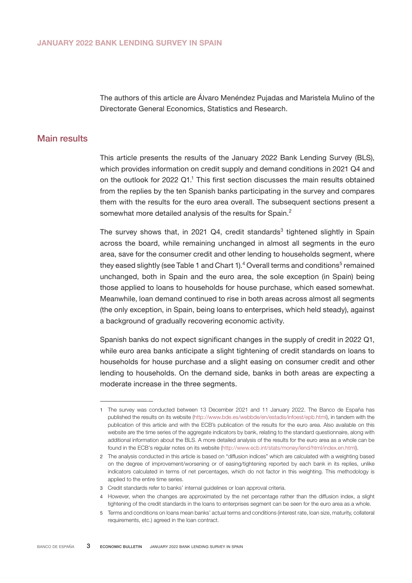The authors of this article are Álvaro Menéndez Pujadas and Maristela Mulino of the Directorate General Economics, Statistics and Research.

# Main results

This article presents the results of the January 2022 Bank Lending Survey (BLS), which provides information on credit supply and demand conditions in 2021 Q4 and on the outlook for  $2022$  Q1.<sup>1</sup> This first section discusses the main results obtained from the replies by the ten Spanish banks participating in the survey and compares them with the results for the euro area overall. The subsequent sections present a somewhat more detailed analysis of the results for Spain.<sup>2</sup>

The survey shows that, in 2021 Q4, credit standards<sup>3</sup> tightened slightly in Spain across the board, while remaining unchanged in almost all segments in the euro area, save for the consumer credit and other lending to households segment, where they eased slightly (see Table 1 and Chart 1). $^4$  Overall terms and conditions $^5$  remained unchanged, both in Spain and the euro area, the sole exception (in Spain) being those applied to loans to households for house purchase, which eased somewhat. Meanwhile, loan demand continued to rise in both areas across almost all segments (the only exception, in Spain, being loans to enterprises, which held steady), against a background of gradually recovering economic activity.

Spanish banks do not expect significant changes in the supply of credit in 2022 Q1, while euro area banks anticipate a slight tightening of credit standards on loans to households for house purchase and a slight easing on consumer credit and other lending to households. On the demand side, banks in both areas are expecting a moderate increase in the three segments.

<sup>1</sup> The survey was conducted between 13 December 2021 and 11 January 2022. The Banco de España has published the results on its website [\(http://www.bde.es/webbde/en/estadis/infoest/epb.html\)](http://www.bde.es/webbde/en/estadis/infoest/epb.html), in tandem with the publication of this article and with the ECB's publication of the results for the euro area. Also available on this website are the time series of the aggregate indicators by bank, relating to the standard questionnaire, along with additional information about the BLS. A more detailed analysis of the results for the euro area as a whole can be found in the ECB's regular notes on its website [\(http://www.ecb.int/stats/money/lend/html/index.en.html\)](http://www.ecb.int/stats/money/lend/html/index.en.html).

<sup>2</sup> The analysis conducted in this article is based on "diffusion indices" which are calculated with a weighting based on the degree of improvement/worsening or of easing/tightening reported by each bank in its replies, unlike indicators calculated in terms of net percentages, which do not factor in this weighting. This methodology is applied to the entire time series.

<sup>3</sup> Credit standards refer to banks' internal guidelines or loan approval criteria.

<sup>4</sup> However, when the changes are approximated by the net percentage rather than the diffusion index, a slight tightening of the credit standards in the loans to enterprises segment can be seen for the euro area as a whole.

<sup>5</sup> Terms and conditions on loans mean banks' actual terms and conditions (interest rate, loan size, maturity, collateral requirements, etc.) agreed in the loan contract.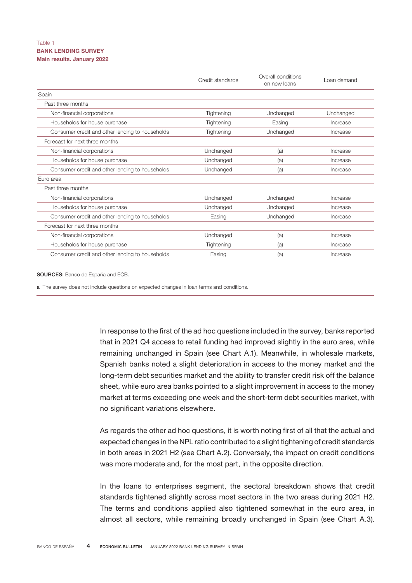# BANK LENDING SURVEY Main results. January 2022 Table 1

|                                                 | Credit standards | Overall conditions<br>on new loans | oan demand |
|-------------------------------------------------|------------------|------------------------------------|------------|
| Spain                                           |                  |                                    |            |
| Past three months                               |                  |                                    |            |
| Non-financial corporations                      | Tightening       | Unchanged                          | Unchanged  |
| Households for house purchase                   | Tightening       | Easing                             | Increase   |
| Consumer credit and other lending to households | Tightening       | Unchanged                          | Increase   |
| Forecast for next three months                  |                  |                                    |            |
| Non-financial corporations                      | Unchanged        | (a)                                | Increase   |
| Households for house purchase                   | Unchanged        | (a)                                | Increase   |
| Consumer credit and other lending to households | Unchanged        | (a)                                | Increase   |
| Euro area                                       |                  |                                    |            |
| Past three months                               |                  |                                    |            |
| Non-financial corporations                      | Unchanged        | Unchanged                          | Increase   |
| Households for house purchase                   | Unchanged        | Unchanged                          | Increase   |
| Consumer credit and other lending to households | Easing           | Unchanged                          | Increase   |
| Forecast for next three months                  |                  |                                    |            |
| Non-financial corporations                      | Unchanged        | (a)                                | Increase   |
| Households for house purchase                   | Tightening       | (a)                                | Increase   |
| Consumer credit and other lending to households | Easing           | (a)                                | Increase   |

#### SOURCES: Banco de España and ECB.

a The survey does not include questions on expected changes in loan terms and conditions.

In response to the first of the ad hoc questions included in the survey, banks reported that in 2021 Q4 access to retail funding had improved slightly in the euro area, while remaining unchanged in Spain (see Chart A.1). Meanwhile, in wholesale markets, Spanish banks noted a slight deterioration in access to the money market and the long-term debt securities market and the ability to transfer credit risk off the balance sheet, while euro area banks pointed to a slight improvement in access to the money market at terms exceeding one week and the short-term debt securities market, with no significant variations elsewhere.

As regards the other ad hoc questions, it is worth noting first of all that the actual and expected changes in the NPL ratio contributed to a slight tightening of credit standards in both areas in 2021 H2 (see Chart A.2). Conversely, the impact on credit conditions was more moderate and, for the most part, in the opposite direction.

In the loans to enterprises segment, the sectoral breakdown shows that credit standards tightened slightly across most sectors in the two areas during 2021 H2. The terms and conditions applied also tightened somewhat in the euro area, in almost all sectors, while remaining broadly unchanged in Spain (see Chart A.3).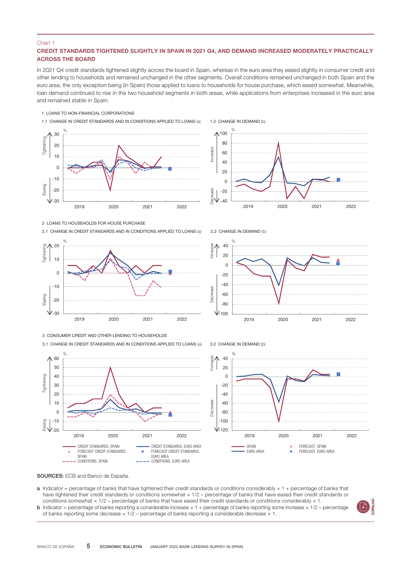#### Chart 1

## CREDIT STANDARDS TIGHTENED SLIGHTLY IN SPAIN IN 2021 Q4, AND DEMAND INCREASED MODERATELY PRACTICALLY ACROSS THE BOARD

In 2021 Q4 credit standards tightened slightly across the board in Spain, whereas in the euro area they eased slightly in consumer credit and other lending to households and remained unchanged in the other segments. Overall conditions remained unchanged in both Spain and the euro area, the only exception being (in Spain) those applied to loans to households for house purchase, which eased somewhat. Meanwhile, loan demand continued to rise in the two household segments in both areas, while applications from enterprises increased in the euro area and remained stable in Spain.

#### 1 LOANS TO NON-FINANCIAL CORPORATIONS











3 CONSUMER CREDIT AND OTHER LENDING TO HOUSEHOLDS

3.1 CHANGE IN CREDIT STANDARDS AND IN CONDITIONS APPLIED TO LOANS (a)





2.2 CHANGE IN DEMAND (b)





SOURCES: ECB and Banco de España.

- **a** Indicator = percentage of banks that have tightened their credit standards or conditions considerably  $\times$  1 + percentage of banks that have tightened their credit standards or conditions somewhat x 1/2 – percentage of banks that have eased their credit standards or conditions somewhat × 1/2 – percentage of banks that have eased their credit standards or conditions considerably × 1.
- **b** Indicator = percentage of banks reporting a considerable increase  $\times$  1 + percentage of banks reporting some increase  $\times$  1/2 percentage of banks reporting some decrease  $\times$  1/2 – percentage of banks reporting a considerable decrease  $\times$  1.

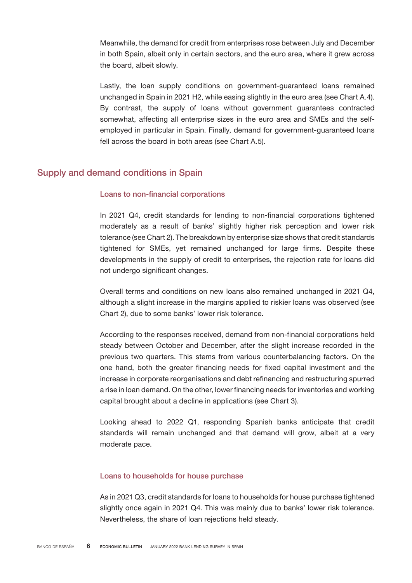Meanwhile, the demand for credit from enterprises rose between July and December in both Spain, albeit only in certain sectors, and the euro area, where it grew across the board, albeit slowly.

Lastly, the loan supply conditions on government-guaranteed loans remained unchanged in Spain in 2021 H2, while easing slightly in the euro area (see Chart A.4). By contrast, the supply of loans without government guarantees contracted somewhat, affecting all enterprise sizes in the euro area and SMEs and the selfemployed in particular in Spain. Finally, demand for government-guaranteed loans fell across the board in both areas (see Chart A.5).

# Supply and demand conditions in Spain

# Loans to non-financial corporations

In 2021 Q4, credit standards for lending to non-financial corporations tightened moderately as a result of banks' slightly higher risk perception and lower risk tolerance (see Chart 2). The breakdown by enterprise size shows that credit standards tightened for SMEs, yet remained unchanged for large firms. Despite these developments in the supply of credit to enterprises, the rejection rate for loans did not undergo significant changes.

Overall terms and conditions on new loans also remained unchanged in 2021 Q4, although a slight increase in the margins applied to riskier loans was observed (see Chart 2), due to some banks' lower risk tolerance.

According to the responses received, demand from non-financial corporations held steady between October and December, after the slight increase recorded in the previous two quarters. This stems from various counterbalancing factors. On the one hand, both the greater financing needs for fixed capital investment and the increase in corporate reorganisations and debt refinancing and restructuring spurred a rise in loan demand. On the other, lower financing needs for inventories and working capital brought about a decline in applications (see Chart 3).

Looking ahead to 2022 Q1, responding Spanish banks anticipate that credit standards will remain unchanged and that demand will grow, albeit at a very moderate pace.

# Loans to households for house purchase

As in 2021 Q3, credit standards for loans to households for house purchase tightened slightly once again in 2021 Q4. This was mainly due to banks' lower risk tolerance. Nevertheless, the share of loan rejections held steady.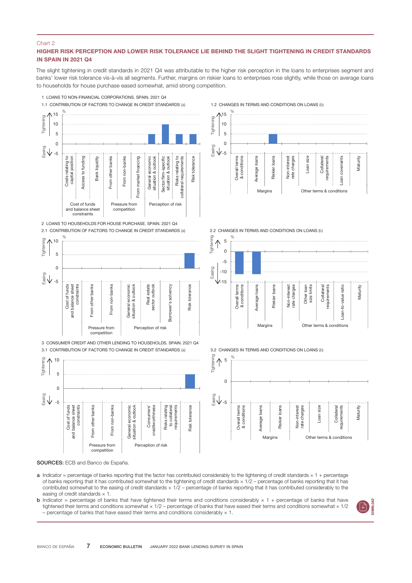### Chart 2

# HIGHER RISK PERCEPTION AND LOWER RISK TOLERANCE LIE BEHIND THE SLIGHT TIGHTENING IN CREDIT STANDARDS IN SPAIN IN 2021 Q4

The slight tightening in credit standards in 2021 Q4 was attributable to the higher risk perception in the loans to enterprises segment and banks' lower risk tolerance vis-à-vis all segments. Further, margins on riskier loans to enterprises rose slightly, while those on average loans to households for house purchase eased somewhat, amid strong competition.



2 LOANS TO HOUSEHOLDS FOR HOUSE PURCHASE. SPAIN. 2021 Q4 2.1 CONTRIBUTION OF FACTORS TO CHANGE IN CREDIT STANDARDS (a)



3.1 CONTRIBUTION OF FACTORS TO CHANGE IN CREDIT STANDARDS (a)



#### 1.2 CHANGES IN TERMS AND CONDITIONS ON LOANS (b)



#### 2.2 CHANGES IN TERMS AND CONDITIONS ON LOANS (b)



3.2 CHANGES IN TERMS AND CONDITIONS ON LOANS (b)



SOURCES: ECB and Banco de España.

- a Indicator = percentage of banks reporting that the factor has contributed considerably to the tightening of credit standards × 1 + percentage of banks reporting that it has contributed somewhat to the tightening of credit standards  $\times$  1/2 – percentage of banks reporting that it has contributed somewhat to the easing of credit standards × 1/2 – percentage of banks reporting that it has contributed considerably to the easing of credit standards  $\times$  1.
- **b** Indicator = percentage of banks that have tightened their terms and conditions considerably  $\times$  1 + percentage of banks that have tightened their terms and conditions somewhat × 1/2 – percentage of banks that have eased their terms and conditions somewhat × 1/2 – percentage of banks that have eased their terms and conditions considerably  $\times$  1.

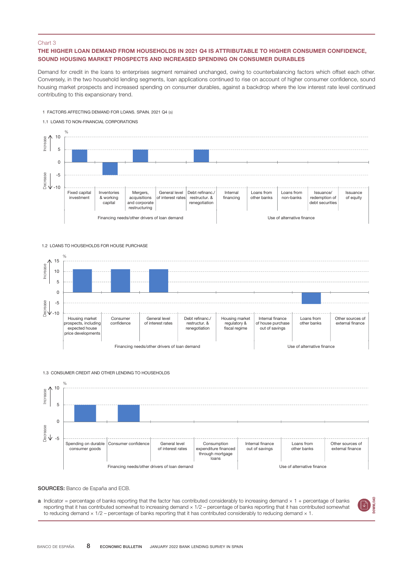#### Chart 3

# THE HIGHER LOAN DEMAND FROM HOUSEHOLDS IN 2021 Q4 IS ATTRIBUTABLE TO HIGHER CONSUMER CONFIDENCE, SOUND HOUSING MARKET PROSPECTS AND INCREASED SPENDING ON CONSUMER DURABLES

Demand for credit in the loans to enterprises segment remained unchanged, owing to counterbalancing factors which offset each other. Conversely, in the two household lending segments, loan applications continued to rise on account of higher consumer confidence, sound housing market prospects and increased spending on consumer durables, against a backdrop where the low interest rate level continued contributing to this expansionary trend.

1 FACTORS AFFECTING DEMAND FOR LOANS. SPAIN. 2021 Q4 (a)





1.2 LOANS TO HOUSEHOLDS FOR HOUSE PURCHASE



#### 1.3 CONSUMER CREDIT AND OTHER LENDING TO HOUSEHOLDS



SOURCES: Banco de España and ECB.

 $a$  Indicator = percentage of banks reporting that the factor has contributed considerably to increasing demand  $\times$  1 + percentage of banks reporting that it has contributed somewhat to increasing demand  $\times$  1/2 – percentage of banks reporting that it has contributed somewhat to reducing demand × 1/2 – percentage of banks reporting that it has contributed considerably to reducing demand × 1.

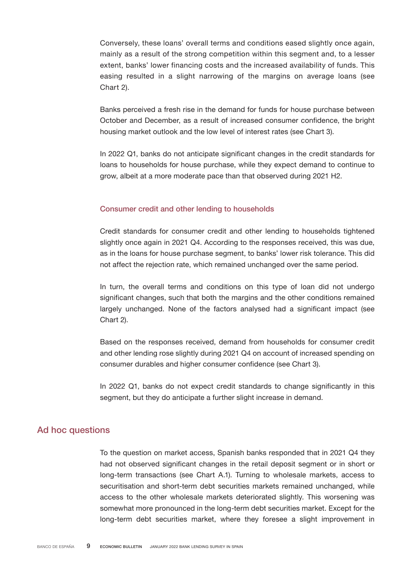Conversely, these loans' overall terms and conditions eased slightly once again, mainly as a result of the strong competition within this segment and, to a lesser extent, banks' lower financing costs and the increased availability of funds. This easing resulted in a slight narrowing of the margins on average loans (see Chart 2).

Banks perceived a fresh rise in the demand for funds for house purchase between October and December, as a result of increased consumer confidence, the bright housing market outlook and the low level of interest rates (see Chart 3).

In 2022 Q1, banks do not anticipate significant changes in the credit standards for loans to households for house purchase, while they expect demand to continue to grow, albeit at a more moderate pace than that observed during 2021 H2.

# Consumer credit and other lending to households

Credit standards for consumer credit and other lending to households tightened slightly once again in 2021 Q4. According to the responses received, this was due, as in the loans for house purchase segment, to banks' lower risk tolerance. This did not affect the rejection rate, which remained unchanged over the same period.

In turn, the overall terms and conditions on this type of loan did not undergo significant changes, such that both the margins and the other conditions remained largely unchanged. None of the factors analysed had a significant impact (see Chart 2).

Based on the responses received, demand from households for consumer credit and other lending rose slightly during 2021 Q4 on account of increased spending on consumer durables and higher consumer confidence (see Chart 3).

In 2022 Q1, banks do not expect credit standards to change significantly in this segment, but they do anticipate a further slight increase in demand.

# Ad hoc questions

To the question on market access, Spanish banks responded that in 2021 Q4 they had not observed significant changes in the retail deposit segment or in short or long-term transactions (see Chart A.1). Turning to wholesale markets, access to securitisation and short-term debt securities markets remained unchanged, while access to the other wholesale markets deteriorated slightly. This worsening was somewhat more pronounced in the long-term debt securities market. Except for the long-term debt securities market, where they foresee a slight improvement in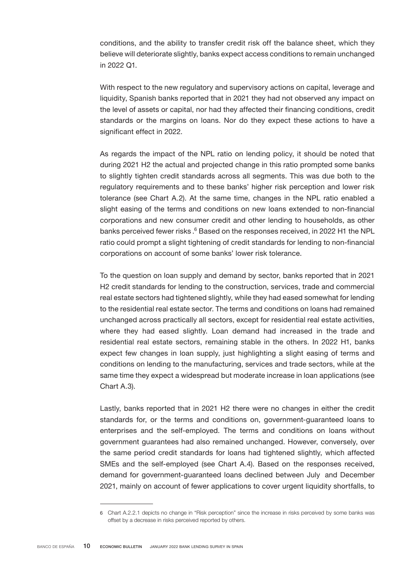conditions, and the ability to transfer credit risk off the balance sheet, which they believe will deteriorate slightly, banks expect access conditions to remain unchanged in 2022 Q1.

With respect to the new regulatory and supervisory actions on capital, leverage and liquidity, Spanish banks reported that in 2021 they had not observed any impact on the level of assets or capital, nor had they affected their financing conditions, credit standards or the margins on loans. Nor do they expect these actions to have a significant effect in 2022.

As regards the impact of the NPL ratio on lending policy, it should be noted that during 2021 H2 the actual and projected change in this ratio prompted some banks to slightly tighten credit standards across all segments. This was due both to the regulatory requirements and to these banks' higher risk perception and lower risk tolerance (see Chart A.2). At the same time, changes in the NPL ratio enabled a slight easing of the terms and conditions on new loans extended to non-financial corporations and new consumer credit and other lending to households, as other banks perceived fewer risks.<sup>6</sup> Based on the responses received, in 2022 H1 the NPL ratio could prompt a slight tightening of credit standards for lending to non-financial corporations on account of some banks' lower risk tolerance.

To the question on loan supply and demand by sector, banks reported that in 2021 H2 credit standards for lending to the construction, services, trade and commercial real estate sectors had tightened slightly, while they had eased somewhat for lending to the residential real estate sector. The terms and conditions on loans had remained unchanged across practically all sectors, except for residential real estate activities, where they had eased slightly. Loan demand had increased in the trade and residential real estate sectors, remaining stable in the others. In 2022 H1, banks expect few changes in loan supply, just highlighting a slight easing of terms and conditions on lending to the manufacturing, services and trade sectors, while at the same time they expect a widespread but moderate increase in loan applications (see Chart A.3).

Lastly, banks reported that in 2021 H2 there were no changes in either the credit standards for, or the terms and conditions on, government-guaranteed loans to enterprises and the self-employed. The terms and conditions on loans without government guarantees had also remained unchanged. However, conversely, over the same period credit standards for loans had tightened slightly, which affected SMEs and the self-employed (see Chart A.4). Based on the responses received, demand for government-guaranteed loans declined between July and December 2021, mainly on account of fewer applications to cover urgent liquidity shortfalls, to

<sup>6</sup> Chart A.2.2.1 depicts no change in "Risk perception" since the increase in risks perceived by some banks was offset by a decrease in risks perceived reported by others.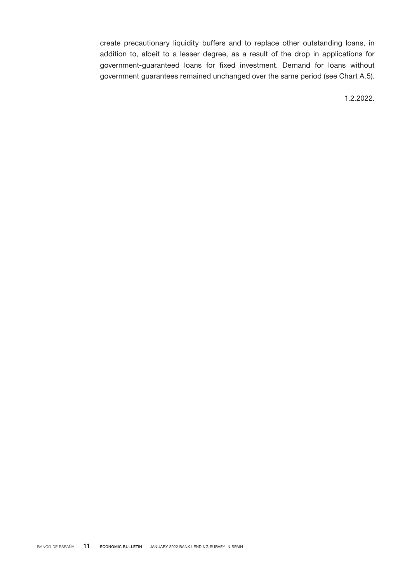create precautionary liquidity buffers and to replace other outstanding loans, in addition to, albeit to a lesser degree, as a result of the drop in applications for government-guaranteed loans for fixed investment. Demand for loans without government guarantees remained unchanged over the same period (see Chart A.5).

1.2.2022.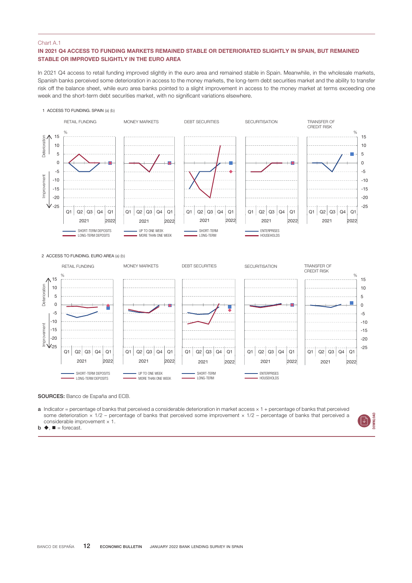# IN 2021 Q4 ACCESS TO FUNDING MARKETS REMAINED STABLE OR DETERIORATED SLIGHTLY IN SPAIN, BUT REMAINED STABLE OR IMPROVED SLIGHTLY IN THE EURO AREA

In 2021 Q4 access to retail funding improved slightly in the euro area and remained stable in Spain. Meanwhile, in the wholesale markets, Spanish banks perceived some deterioration in access to the money markets, the long-term debt securities market and the ability to transfer risk off the balance sheet, while euro area banks pointed to a slight improvement in access to the money market at terms exceeding one week and the short-term debt securities market, with no significant variations elsewhere.

#### 1 ACCESS TO FUNDING. SPAIN (a) (b)



SOURCES: Banco de España and ECB.

a Indicator = percentage of banks that perceived a considerable deterioration in market access × 1 + percentage of banks that perceived some deterioration  $\times$  1/2 – percentage of banks that perceived some improvement  $\times$  1/2 – percentage of banks that perceived a considerable improvement × 1.

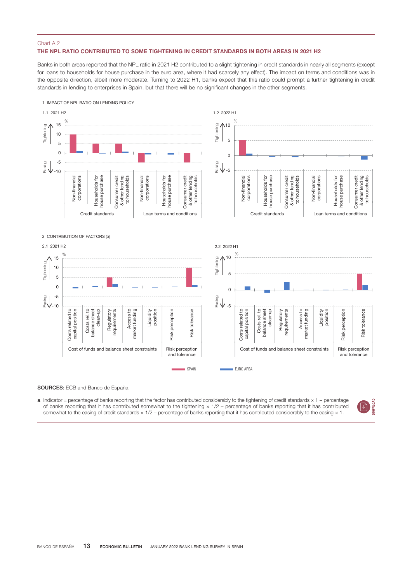#### THE NPL RATIO CONTRIBUTED TO SOME TIGHTENING IN CREDIT STANDARDS IN BOTH AREAS IN 2021 H2

Banks in both areas reported that the NPL ratio in 2021 H2 contributed to a slight tightening in credit standards in nearly all segments (except for loans to households for house purchase in the euro area, where it had scarcely any effect). The impact on terms and conditions was in the opposite direction, albeit more moderate. Turning to 2022 H1, banks expect that this ratio could prompt a further tightening in credit standards in lending to enterprises in Spain, but that there will be no significant changes in the other segments.



#### SOURCES: ECB and Banco de España.

a Indicator = percentage of banks reporting that the factor has contributed considerably to the tightening of credit standards  $\times$  1 + percentage of banks reporting that it has contributed somewhat to the tightening  $\times$  1/2 – percentage of banks reporting that it has contributed somewhat to the easing of credit standards  $\times$  1/2 – percentage of banks reporting th

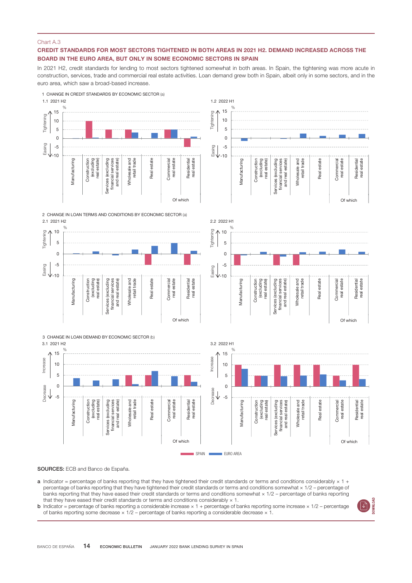### CREDIT STANDARDS FOR MOST SECTORS TIGHTENED IN BOTH AREAS IN 2021 H2. DEMAND INCREASED ACROSS THE BOARD IN THE EURO AREA, BUT ONLY IN SOME ECONOMIC SECTORS IN SPAIN

In 2021 H2, credit standards for lending to most sectors tightened somewhat in both areas. In Spain, the tightening was more acute in construction, services, trade and commercial real estate activities. Loan demand grew both in Spain, albeit only in some sectors, and in the euro area, which saw a broad-based increase.



SOURCES: ECB and Banco de España.

- a Indicator = percentage of banks reporting that they have tightened their credit standards or terms and conditions considerably  $\times$  1 + percentage of banks reporting that they have tightened their credit standards or terms and conditions somewhat  $\times$  1/2 – percentage of banks reporting that they have eased their credit standards or terms and conditions somewhat  $\times$  1/2 – percentage of banks reporting that they have eased their credit standards or terms and conditions considerably  $\times$  1.
- **b** Indicator = percentage of banks reporting a considerable increase  $\times$  1 + percentage of banks reporting some increase  $\times$  1/2 percentage of banks reporting some decrease × 1/2 – percentage of banks reporting a considerable decrease × 1.

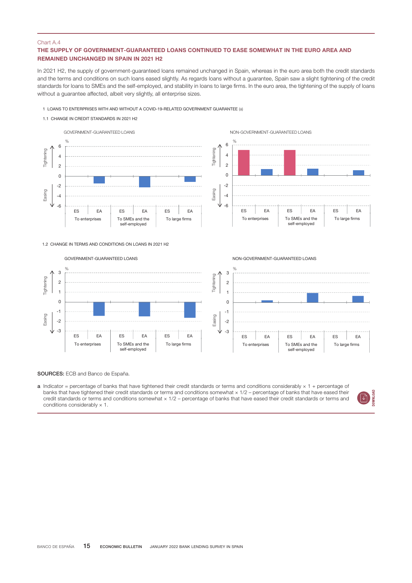# THE SUPPLY OF GOVERNMENT-GUARANTEED LOANS CONTINUED TO EASE SOMEWHAT IN THE EURO AREA AND REMAINED UNCHANGED IN SPAIN IN 2021 H2

In 2021 H2, the supply of government-guaranteed loans remained unchanged in Spain, whereas in the euro area both the credit standards and the terms and conditions on such loans eased slightly. As regards loans without a guarantee, Spain saw a slight tightening of the credit standards for loans to SMEs and the self-employed, and stability in loans to large firms. In the euro area, the tightening of the supply of loans without a guarantee affected, albeit very slightly, all enterprise sizes.

- 1 LOANS TO ENTERPRISES WITH AND WITHOUT A COVID-19-RELATED GOVERNMENT GUARANTEE (a)
- 1.1 CHANGE IN CREDIT STANDARDS IN 2021 H2





NON-GOVERNMENT-GUARANTEED LOANS



SOURCES: ECB and Banco de España.

a Indicator = percentage of banks that have tightened their credit standards or terms and conditions considerably  $\times$  1 + percentage of banks that have tightened their credit standards or terms and conditions somewhat × 1/2 – percentage of banks that have eased their credit standards or terms and conditions somewhat × 1/2 – percentage of banks that have eased their credit standards or terms and conditions considerably  $\times$  1.